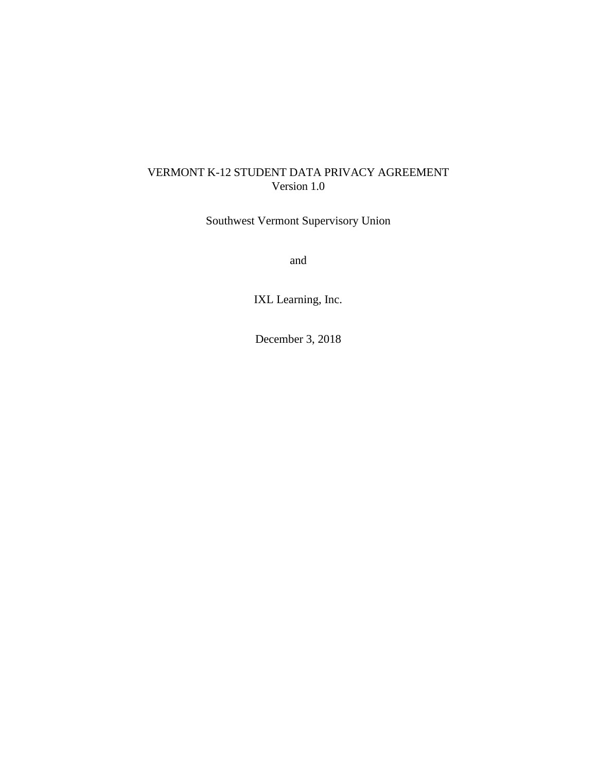## VERMONT K-12 STUDENT DATA PRIVACY AGREEMENT Version 1.0

Southwest Vermont Supervisory Union

and

IXL Learning, Inc.

December 3, 2018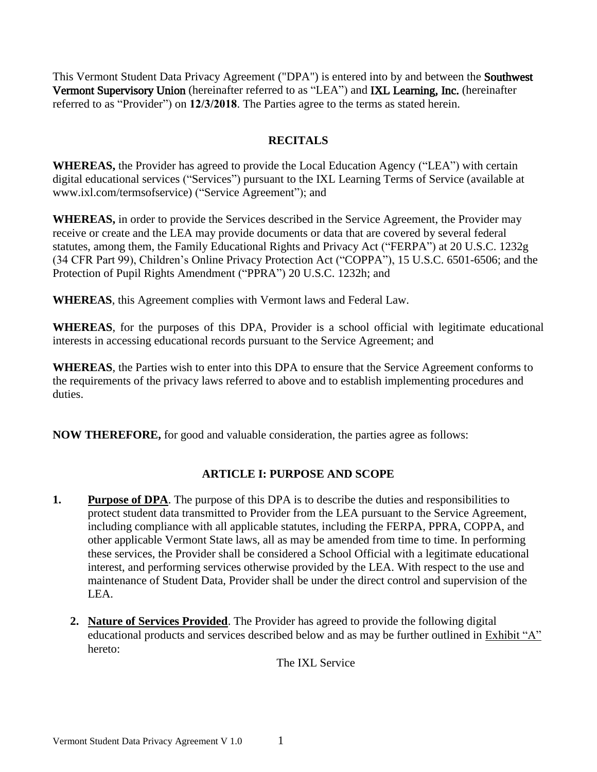This Vermont Student Data Privacy Agreement ("DPA") is entered into by and between the Southwest Vermont Supervisory Union (hereinafter referred to as "LEA") and IXL Learning, Inc. (hereinafter referred to as "Provider") on **12/3/2018**. The Parties agree to the terms as stated herein.

## **RECITALS**

**WHEREAS,** the Provider has agreed to provide the Local Education Agency ("LEA") with certain digital educational services ("Services") pursuant to the IXL Learning Terms of Service (available at www.ixl.com/termsofservice) ("Service Agreement"); and

**WHEREAS,** in order to provide the Services described in the Service Agreement, the Provider may receive or create and the LEA may provide documents or data that are covered by several federal statutes, among them, the Family Educational Rights and Privacy Act ("FERPA") at 20 U.S.C. 1232g (34 CFR Part 99), Children's Online Privacy Protection Act ("COPPA"), 15 U.S.C. 6501-6506; and the Protection of Pupil Rights Amendment ("PPRA") 20 U.S.C. 1232h; and

**WHEREAS**, this Agreement complies with Vermont laws and Federal Law.

**WHEREAS**, for the purposes of this DPA, Provider is a school official with legitimate educational interests in accessing educational records pursuant to the Service Agreement; and

**WHEREAS**, the Parties wish to enter into this DPA to ensure that the Service Agreement conforms to the requirements of the privacy laws referred to above and to establish implementing procedures and duties.

**NOW THEREFORE,** for good and valuable consideration, the parties agree as follows:

# **ARTICLE I: PURPOSE AND SCOPE**

- **1.** Purpose of DPA. The purpose of this DPA is to describe the duties and responsibilities to protect student data transmitted to Provider from the LEA pursuant to the Service Agreement, including compliance with all applicable statutes, including the FERPA, PPRA, COPPA, and other applicable Vermont State laws, all as may be amended from time to time. In performing these services, the Provider shall be considered a School Official with a legitimate educational interest, and performing services otherwise provided by the LEA. With respect to the use and maintenance of Student Data, Provider shall be under the direct control and supervision of the LEA.
	- **2. Nature of Services Provided**. The Provider has agreed to provide the following digital educational products and services described below and as may be further outlined in Exhibit "A" hereto:

The IXL Service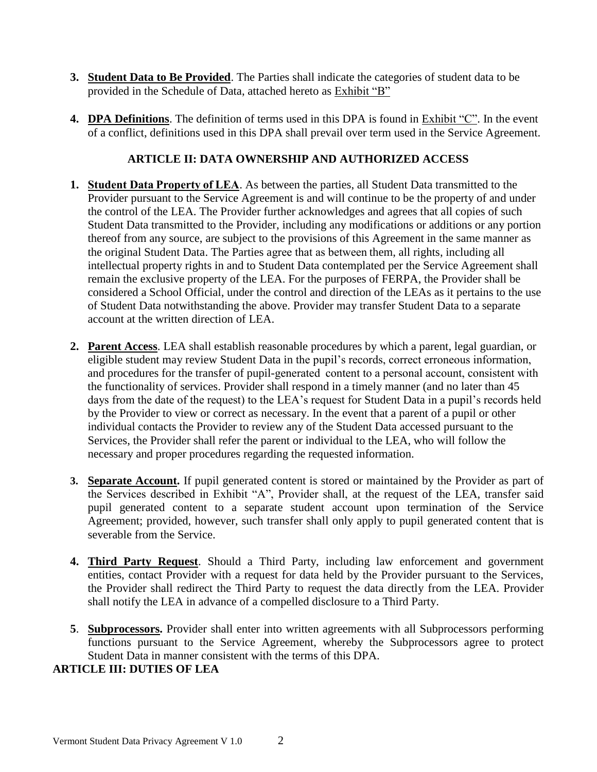- **3. Student Data to Be Provided**. The Parties shall indicate the categories of student data to be provided in the Schedule of Data, attached hereto as Exhibit "B"
- **4. DPA Definitions**. The definition of terms used in this DPA is found in Exhibit "C". In the event of a conflict, definitions used in this DPA shall prevail over term used in the Service Agreement.

# **ARTICLE II: DATA OWNERSHIP AND AUTHORIZED ACCESS**

- **1. Student Data Property of LEA**. As between the parties, all Student Data transmitted to the Provider pursuant to the Service Agreement is and will continue to be the property of and under the control of the LEA. The Provider further acknowledges and agrees that all copies of such Student Data transmitted to the Provider, including any modifications or additions or any portion thereof from any source, are subject to the provisions of this Agreement in the same manner as the original Student Data. The Parties agree that as between them, all rights, including all intellectual property rights in and to Student Data contemplated per the Service Agreement shall remain the exclusive property of the LEA. For the purposes of FERPA, the Provider shall be considered a School Official, under the control and direction of the LEAs as it pertains to the use of Student Data notwithstanding the above. Provider may transfer Student Data to a separate account at the written direction of LEA.
- **2. Parent Access**. LEA shall establish reasonable procedures by which a parent, legal guardian, or eligible student may review Student Data in the pupil's records, correct erroneous information, and procedures for the transfer of pupil-generated  content to a personal account, consistent with the functionality of services. Provider shall respond in a timely manner (and no later than 45 days from the date of the request) to the LEA's request for Student Data in a pupil's records held by the Provider to view or correct as necessary. In the event that a parent of a pupil or other individual contacts the Provider to review any of the Student Data accessed pursuant to the Services, the Provider shall refer the parent or individual to the LEA, who will follow the necessary and proper procedures regarding the requested information.
- **3. Separate Account.** If pupil generated content is stored or maintained by the Provider as part of the Services described in Exhibit "A", Provider shall, at the request of the LEA, transfer said pupil generated content to a separate student account upon termination of the Service Agreement; provided, however, such transfer shall only apply to pupil generated content that is severable from the Service.
- **4. Third Party Request**. Should a Third Party, including law enforcement and government entities, contact Provider with a request for data held by the Provider pursuant to the Services, the Provider shall redirect the Third Party to request the data directly from the LEA. Provider shall notify the LEA in advance of a compelled disclosure to a Third Party.
- **5**. **Subprocessors.** Provider shall enter into written agreements with all Subprocessors performing functions pursuant to the Service Agreement, whereby the Subprocessors agree to protect Student Data in manner consistent with the terms of this DPA.

#### **ARTICLE III: DUTIES OF LEA**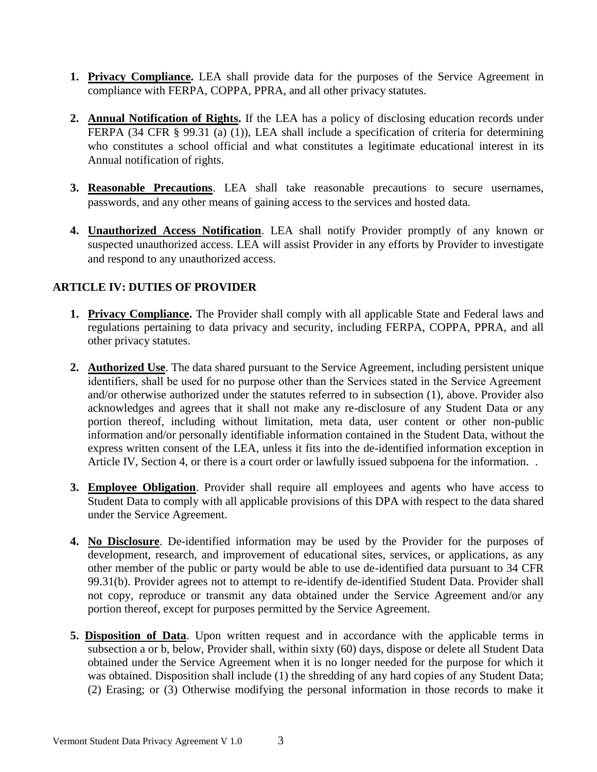- **1. Privacy Compliance.** LEA shall provide data for the purposes of the Service Agreement in compliance with FERPA, COPPA, PPRA, and all other privacy statutes.
- **2. Annual Notification of Rights.** If the LEA has a policy of disclosing education records under FERPA (34 CFR § 99.31 (a) (1)), LEA shall include a specification of criteria for determining who constitutes a school official and what constitutes a legitimate educational interest in its Annual notification of rights.
- **3. Reasonable Precautions**. LEA shall take reasonable precautions to secure usernames, passwords, and any other means of gaining access to the services and hosted data.
- **4. Unauthorized Access Notification**. LEA shall notify Provider promptly of any known or suspected unauthorized access. LEA will assist Provider in any efforts by Provider to investigate and respond to any unauthorized access.

# **ARTICLE IV: DUTIES OF PROVIDER**

- **1. Privacy Compliance.** The Provider shall comply with all applicable State and Federal laws and regulations pertaining to data privacy and security, including FERPA, COPPA, PPRA, and all other privacy statutes.
- **2. Authorized Use**. The data shared pursuant to the Service Agreement, including persistent unique identifiers, shall be used for no purpose other than the Services stated in the Service Agreement and/or otherwise authorized under the statutes referred to in subsection (1), above. Provider also acknowledges and agrees that it shall not make any re-disclosure of any Student Data or any portion thereof, including without limitation, meta data, user content or other non-public information and/or personally identifiable information contained in the Student Data, without the express written consent of the LEA, unless it fits into the de-identified information exception in Article IV, Section 4, or there is a court order or lawfully issued subpoena for the information...
- **3. Employee Obligation**. Provider shall require all employees and agents who have access to Student Data to comply with all applicable provisions of this DPA with respect to the data shared under the Service Agreement.
- **4. No Disclosure**. De-identified information may be used by the Provider for the purposes of development, research, and improvement of educational sites, services, or applications, as any other member of the public or party would be able to use de-identified data pursuant to 34 CFR 99.31(b). Provider agrees not to attempt to re-identify de-identified Student Data. Provider shall not copy, reproduce or transmit any data obtained under the Service Agreement and/or any portion thereof, except for purposes permitted by the Service Agreement.
- **5. Disposition of Data**. Upon written request and in accordance with the applicable terms in subsection a or b, below, Provider shall, within sixty (60) days, dispose or delete all Student Data obtained under the Service Agreement when it is no longer needed for the purpose for which it was obtained. Disposition shall include (1) the shredding of any hard copies of any Student Data; (2) Erasing; or (3) Otherwise modifying the personal information in those records to make it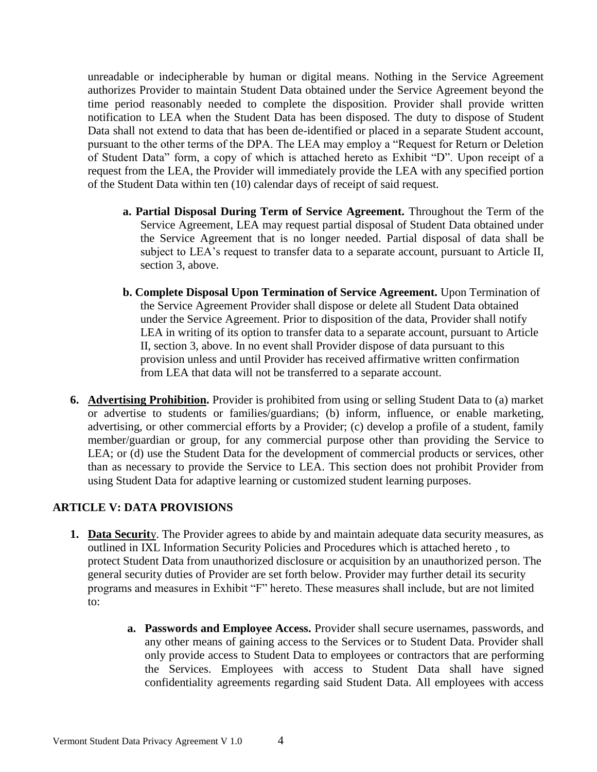unreadable or indecipherable by human or digital means. Nothing in the Service Agreement authorizes Provider to maintain Student Data obtained under the Service Agreement beyond the time period reasonably needed to complete the disposition. Provider shall provide written notification to LEA when the Student Data has been disposed. The duty to dispose of Student Data shall not extend to data that has been de-identified or placed in a separate Student account, pursuant to the other terms of the DPA. The LEA may employ a "Request for Return or Deletion of Student Data" form, a copy of which is attached hereto as Exhibit "D". Upon receipt of a request from the LEA, the Provider will immediately provide the LEA with any specified portion of the Student Data within ten (10) calendar days of receipt of said request.

- **a. Partial Disposal During Term of Service Agreement.** Throughout the Term of the Service Agreement, LEA may request partial disposal of Student Data obtained under the Service Agreement that is no longer needed. Partial disposal of data shall be subject to LEA's request to transfer data to a separate account, pursuant to Article II, section 3, above.
- **b. Complete Disposal Upon Termination of Service Agreement.** Upon Termination of the Service Agreement Provider shall dispose or delete all Student Data obtained under the Service Agreement. Prior to disposition of the data, Provider shall notify LEA in writing of its option to transfer data to a separate account, pursuant to Article II, section 3, above. In no event shall Provider dispose of data pursuant to this provision unless and until Provider has received affirmative written confirmation from LEA that data will not be transferred to a separate account.
- **6. Advertising Prohibition.** Provider is prohibited from using or selling Student Data to (a) market or advertise to students or families/guardians; (b) inform, influence, or enable marketing, advertising, or other commercial efforts by a Provider; (c) develop a profile of a student, family member/guardian or group, for any commercial purpose other than providing the Service to LEA; or (d) use the Student Data for the development of commercial products or services, other than as necessary to provide the Service to LEA. This section does not prohibit Provider from using Student Data for adaptive learning or customized student learning purposes.

#### **ARTICLE V: DATA PROVISIONS**

- **1. Data Securit**y. The Provider agrees to abide by and maintain adequate data security measures, as outlined in IXL Information Security Policies and Procedures which is attached hereto , to protect Student Data from unauthorized disclosure or acquisition by an unauthorized person. The general security duties of Provider are set forth below. Provider may further detail its security programs and measures in Exhibit "F" hereto. These measures shall include, but are not limited to:
	- **a. Passwords and Employee Access.** Provider shall secure usernames, passwords, and any other means of gaining access to the Services or to Student Data. Provider shall only provide access to Student Data to employees or contractors that are performing the Services. Employees with access to Student Data shall have signed confidentiality agreements regarding said Student Data. All employees with access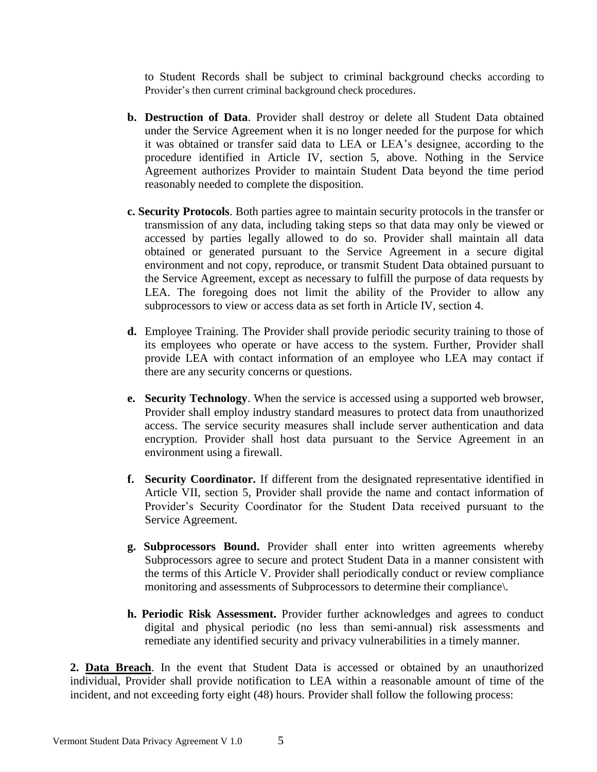to Student Records shall be subject to criminal background checks according to Provider's then current criminal background check procedures.

- **b. Destruction of Data**. Provider shall destroy or delete all Student Data obtained under the Service Agreement when it is no longer needed for the purpose for which it was obtained or transfer said data to LEA or LEA's designee, according to the procedure identified in Article IV, section 5, above. Nothing in the Service Agreement authorizes Provider to maintain Student Data beyond the time period reasonably needed to complete the disposition.
- **c. Security Protocols**. Both parties agree to maintain security protocols in the transfer or transmission of any data, including taking steps so that data may only be viewed or accessed by parties legally allowed to do so. Provider shall maintain all data obtained or generated pursuant to the Service Agreement in a secure digital environment and not copy, reproduce, or transmit Student Data obtained pursuant to the Service Agreement, except as necessary to fulfill the purpose of data requests by LEA. The foregoing does not limit the ability of the Provider to allow any subprocessors to view or access data as set forth in Article IV, section 4.
- **d.** Employee Training. The Provider shall provide periodic security training to those of its employees who operate or have access to the system. Further, Provider shall provide LEA with contact information of an employee who LEA may contact if there are any security concerns or questions.
- **e. Security Technology**. When the service is accessed using a supported web browser, Provider shall employ industry standard measures to protect data from unauthorized access. The service security measures shall include server authentication and data encryption. Provider shall host data pursuant to the Service Agreement in an environment using a firewall.
- **f. Security Coordinator.** If different from the designated representative identified in Article VII, section 5, Provider shall provide the name and contact information of Provider's Security Coordinator for the Student Data received pursuant to the Service Agreement.
- **g. Subprocessors Bound.** Provider shall enter into written agreements whereby Subprocessors agree to secure and protect Student Data in a manner consistent with the terms of this Article V. Provider shall periodically conduct or review compliance monitoring and assessments of Subprocessors to determine their compliance\.
- **h. Periodic Risk Assessment.** Provider further acknowledges and agrees to conduct digital and physical periodic (no less than semi-annual) risk assessments and remediate any identified security and privacy vulnerabilities in a timely manner.

**2. Data Breach**. In the event that Student Data is accessed or obtained by an unauthorized individual, Provider shall provide notification to LEA within a reasonable amount of time of the incident, and not exceeding forty eight (48) hours. Provider shall follow the following process: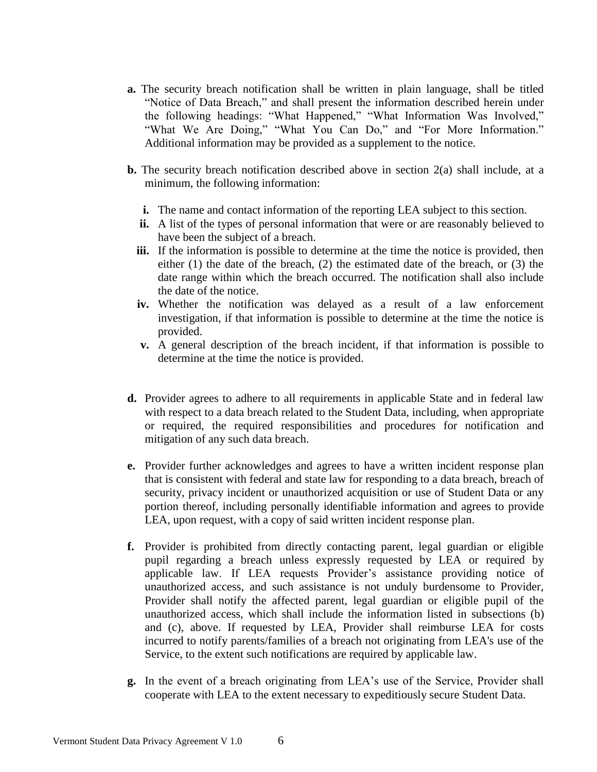- **a.** The security breach notification shall be written in plain language, shall be titled "Notice of Data Breach," and shall present the information described herein under the following headings: "What Happened," "What Information Was Involved," "What We Are Doing," "What You Can Do," and "For More Information." Additional information may be provided as a supplement to the notice.
- **b.** The security breach notification described above in section 2(a) shall include, at a minimum, the following information:
	- **i.** The name and contact information of the reporting LEA subject to this section.
	- **ii.** A list of the types of personal information that were or are reasonably believed to have been the subject of a breach.
	- **iii.** If the information is possible to determine at the time the notice is provided, then either (1) the date of the breach, (2) the estimated date of the breach, or (3) the date range within which the breach occurred. The notification shall also include the date of the notice.
	- **iv.** Whether the notification was delayed as a result of a law enforcement investigation, if that information is possible to determine at the time the notice is provided.
	- **v.** A general description of the breach incident, if that information is possible to determine at the time the notice is provided.
- **d.** Provider agrees to adhere to all requirements in applicable State and in federal law with respect to a data breach related to the Student Data, including, when appropriate or required, the required responsibilities and procedures for notification and mitigation of any such data breach.
- **e.** Provider further acknowledges and agrees to have a written incident response plan that is consistent with federal and state law for responding to a data breach, breach of security, privacy incident or unauthorized acquisition or use of Student Data or any portion thereof, including personally identifiable information and agrees to provide LEA, upon request, with a copy of said written incident response plan.
- **f.** Provider is prohibited from directly contacting parent, legal guardian or eligible pupil regarding a breach unless expressly requested by LEA or required by applicable law. If LEA requests Provider's assistance providing notice of unauthorized access, and such assistance is not unduly burdensome to Provider, Provider shall notify the affected parent, legal guardian or eligible pupil of the unauthorized access, which shall include the information listed in subsections (b) and (c), above. If requested by LEA, Provider shall reimburse LEA for costs incurred to notify parents/families of a breach not originating from LEA's use of the Service, to the extent such notifications are required by applicable law.
- **g.** In the event of a breach originating from LEA's use of the Service, Provider shall cooperate with LEA to the extent necessary to expeditiously secure Student Data.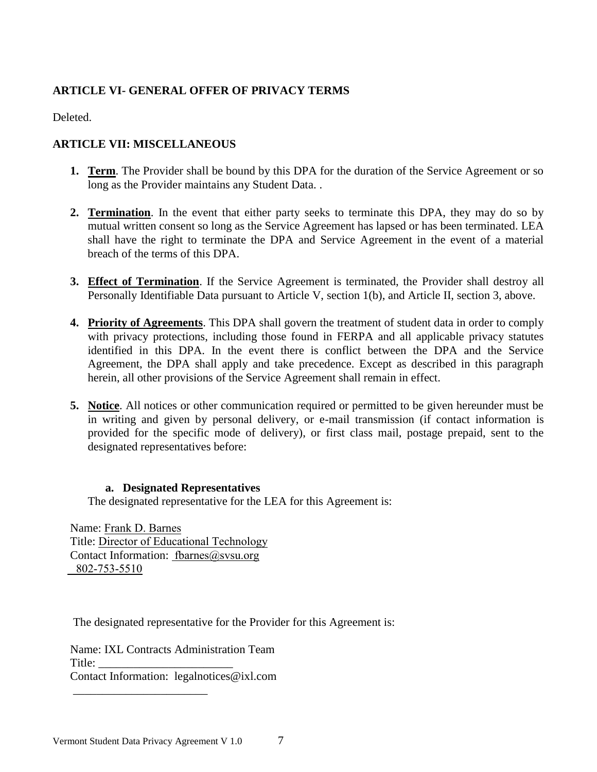# **ARTICLE VI- GENERAL OFFER OF PRIVACY TERMS**

Deleted.

## **ARTICLE VII: MISCELLANEOUS**

- **1. Term**. The Provider shall be bound by this DPA for the duration of the Service Agreement or so long as the Provider maintains any Student Data. .
- **2. Termination**. In the event that either party seeks to terminate this DPA, they may do so by mutual written consent so long as the Service Agreement has lapsed or has been terminated. LEA shall have the right to terminate the DPA and Service Agreement in the event of a material breach of the terms of this DPA.
- **3. Effect of Termination**. If the Service Agreement is terminated, the Provider shall destroy all Personally Identifiable Data pursuant to Article V, section 1(b), and Article II, section 3, above.
- **4. Priority of Agreements**. This DPA shall govern the treatment of student data in order to comply with privacy protections, including those found in FERPA and all applicable privacy statutes identified in this DPA. In the event there is conflict between the DPA and the Service Agreement, the DPA shall apply and take precedence. Except as described in this paragraph herein, all other provisions of the Service Agreement shall remain in effect.
- **5. Notice**. All notices or other communication required or permitted to be given hereunder must be in writing and given by personal delivery, or e-mail transmission (if contact information is provided for the specific mode of delivery), or first class mail, postage prepaid, sent to the designated representatives before:

#### **a. Designated Representatives**

The designated representative for the LEA for this Agreement is:

Name: Frank D. Barnes Title: Director of Educational Technology Contact Information: fbarnes@svsu.org 802-753-5510

The designated representative for the Provider for this Agreement is:

Name: IXL Contracts Administration Team Title: Contact Information: legalnotices@ixl.com

\_\_\_\_\_\_\_\_\_\_\_\_\_\_\_\_\_\_\_\_\_\_\_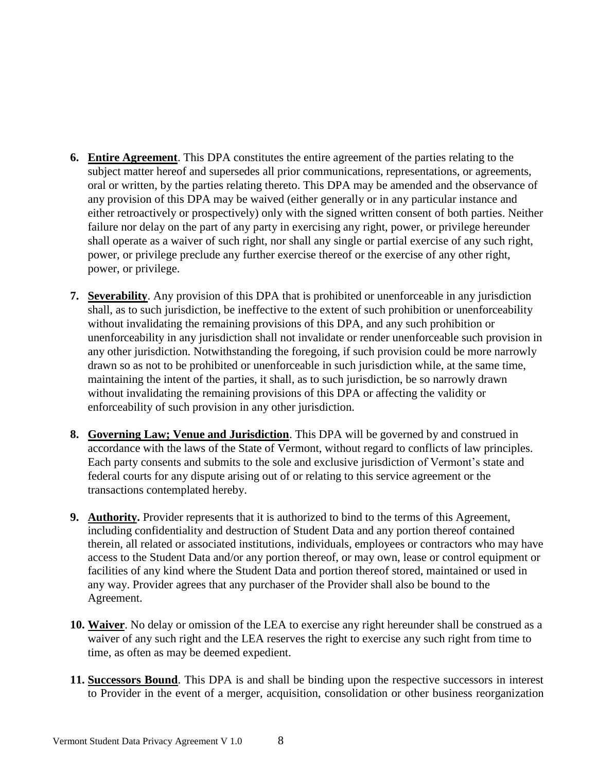- **6. Entire Agreement**. This DPA constitutes the entire agreement of the parties relating to the subject matter hereof and supersedes all prior communications, representations, or agreements, oral or written, by the parties relating thereto. This DPA may be amended and the observance of any provision of this DPA may be waived (either generally or in any particular instance and either retroactively or prospectively) only with the signed written consent of both parties. Neither failure nor delay on the part of any party in exercising any right, power, or privilege hereunder shall operate as a waiver of such right, nor shall any single or partial exercise of any such right, power, or privilege preclude any further exercise thereof or the exercise of any other right, power, or privilege.
- **7. Severability**. Any provision of this DPA that is prohibited or unenforceable in any jurisdiction shall, as to such jurisdiction, be ineffective to the extent of such prohibition or unenforceability without invalidating the remaining provisions of this DPA, and any such prohibition or unenforceability in any jurisdiction shall not invalidate or render unenforceable such provision in any other jurisdiction. Notwithstanding the foregoing, if such provision could be more narrowly drawn so as not to be prohibited or unenforceable in such jurisdiction while, at the same time, maintaining the intent of the parties, it shall, as to such jurisdiction, be so narrowly drawn without invalidating the remaining provisions of this DPA or affecting the validity or enforceability of such provision in any other jurisdiction.
- **8. Governing Law; Venue and Jurisdiction**. This DPA will be governed by and construed in accordance with the laws of the State of Vermont, without regard to conflicts of law principles. Each party consents and submits to the sole and exclusive jurisdiction of Vermont's state and federal courts for any dispute arising out of or relating to this service agreement or the transactions contemplated hereby.
- **9. Authority.** Provider represents that it is authorized to bind to the terms of this Agreement, including confidentiality and destruction of Student Data and any portion thereof contained therein, all related or associated institutions, individuals, employees or contractors who may have access to the Student Data and/or any portion thereof, or may own, lease or control equipment or facilities of any kind where the Student Data and portion thereof stored, maintained or used in any way. Provider agrees that any purchaser of the Provider shall also be bound to the Agreement.
- **10. Waiver**. No delay or omission of the LEA to exercise any right hereunder shall be construed as a waiver of any such right and the LEA reserves the right to exercise any such right from time to time, as often as may be deemed expedient.
- **11. Successors Bound**. This DPA is and shall be binding upon the respective successors in interest to Provider in the event of a merger, acquisition, consolidation or other business reorganization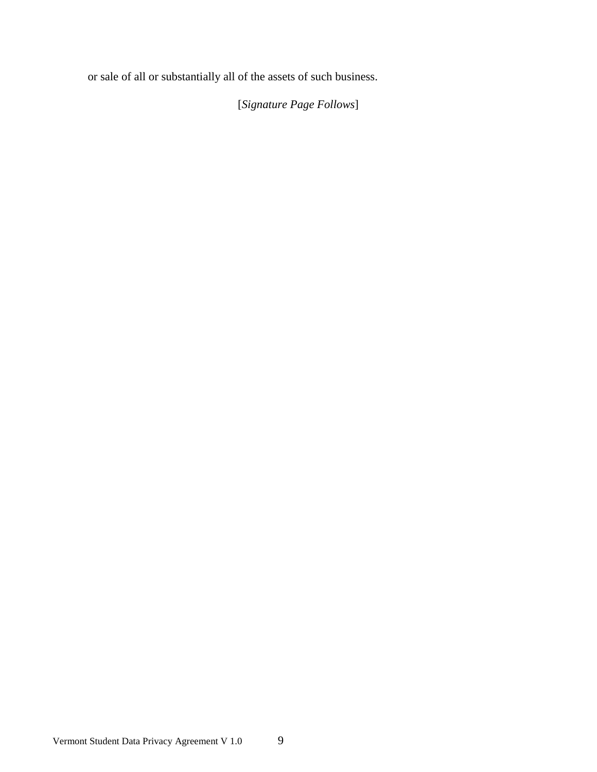or sale of all or substantially all of the assets of such business.

[*Signature Page Follows*]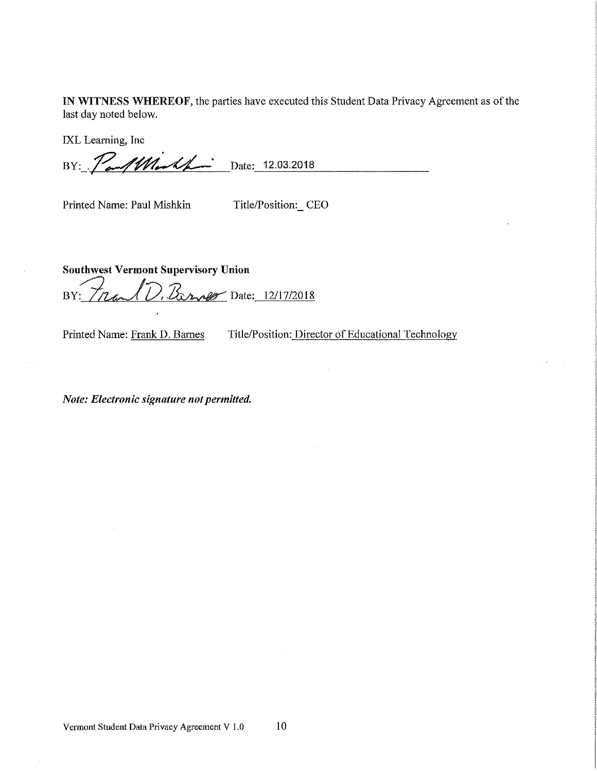IN WITNESS WHEREOF, the parties have executed this Student Data Privacy Agreement as of the last day noted below.

IXL Learning, Inc

BY: PaulWorth Date: 12.03.2018

Printed Name: Paul Mishkin

Title/Position: CEO

**Southwest Vermont Supervisory Union** D. Barner Date: 12/17/2018 Tran BY:

Printed Name: Frank D. Barnes

 $\mathcal{A}^{\mathcal{A}}_{\mathcal{A}}$  ,  $\mathcal{A}^{\mathcal{A}}_{\mathcal{A}}$ 

Title/Position: Director of Educational Technology

Note: Electronic signature not permitted.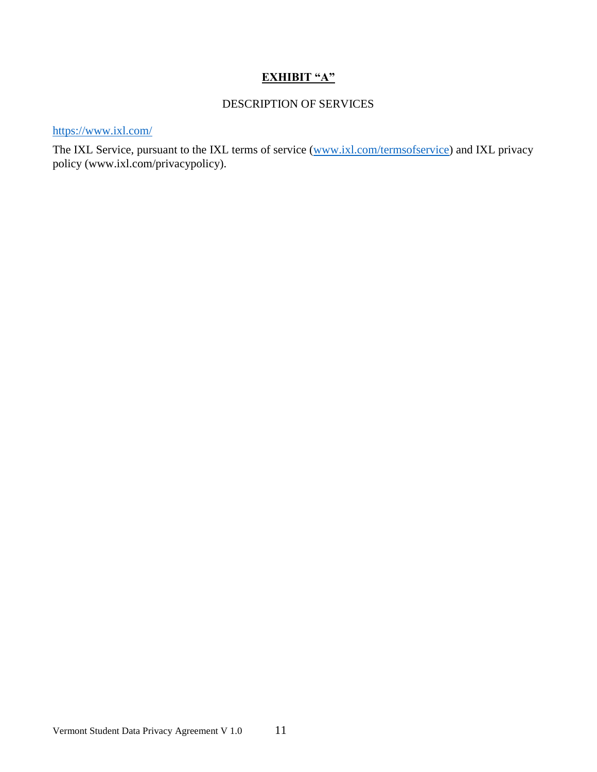# **EXHIBIT "A"**

# DESCRIPTION OF SERVICES

https://www.ixl.com/

The IXL Service, pursuant to the IXL terms of service [\(www.ixl.com/termsofservice\)](http://www.ixl.com/termsofservice) and IXL privacy policy (www.ixl.com/privacypolicy).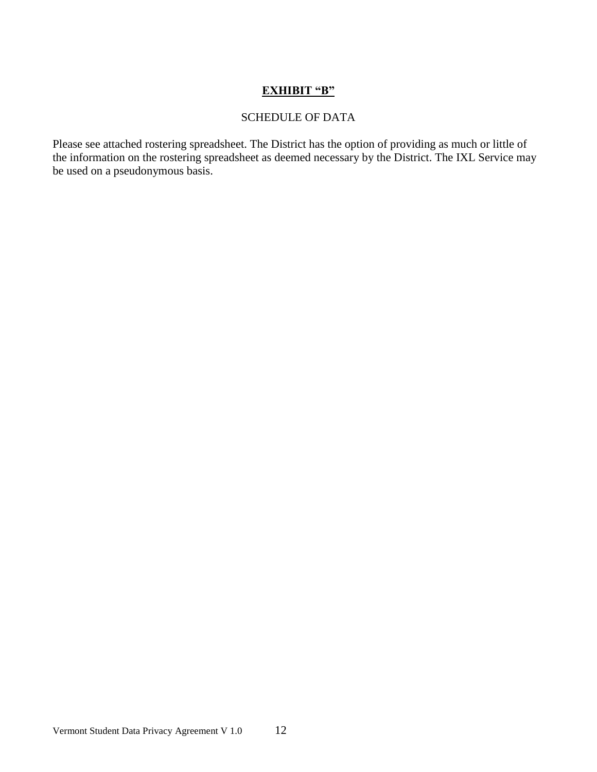# **EXHIBIT "B"**

#### SCHEDULE OF DATA

Please see attached rostering spreadsheet. The District has the option of providing as much or little of the information on the rostering spreadsheet as deemed necessary by the District. The IXL Service may be used on a pseudonymous basis.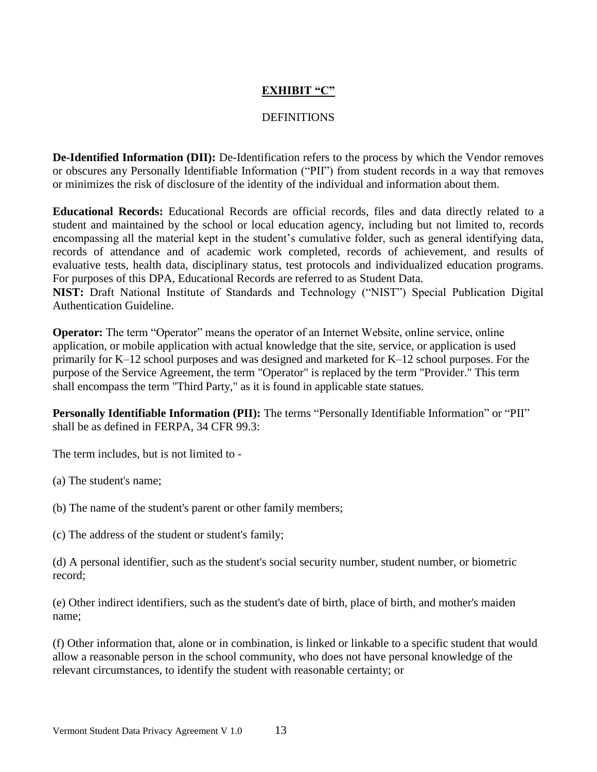# **EXHIBIT "C"**

#### **DEFINITIONS**

**De-Identified Information (DII):** De-Identification refers to the process by which the Vendor removes or obscures any Personally Identifiable Information ("PII") from student records in a way that removes or minimizes the risk of disclosure of the identity of the individual and information about them.

**Educational Records:** Educational Records are official records, files and data directly related to a student and maintained by the school or local education agency, including but not limited to, records encompassing all the material kept in the student's cumulative folder, such as general identifying data, records of attendance and of academic work completed, records of achievement, and results of evaluative tests, health data, disciplinary status, test protocols and individualized education programs. For purposes of this DPA, Educational Records are referred to as Student Data.

**NIST:** Draft National Institute of Standards and Technology ("NIST") Special Publication Digital Authentication Guideline.

**Operator:** The term "Operator" means the operator of an Internet Website, online service, online application, or mobile application with actual knowledge that the site, service, or application is used primarily for K–12 school purposes and was designed and marketed for K–12 school purposes. For the purpose of the Service Agreement, the term "Operator" is replaced by the term "Provider." This term shall encompass the term "Third Party," as it is found in applicable state statues.

**Personally Identifiable Information (PII):** The terms "Personally Identifiable Information" or "PII" shall be as defined in FERPA, 34 CFR 99.3:

The term includes, but is not limited to -

(a) The student's name;

(b) The name of the student's parent or other family members;

(c) The address of the student or student's family;

(d) A personal identifier, such as the student's social security number, student number, or biometric record;

(e) Other indirect identifiers, such as the student's date of birth, place of birth, and mother's maiden name;

(f) Other information that, alone or in combination, is linked or linkable to a specific student that would allow a reasonable person in the school community, who does not have personal knowledge of the relevant circumstances, to identify the student with reasonable certainty; or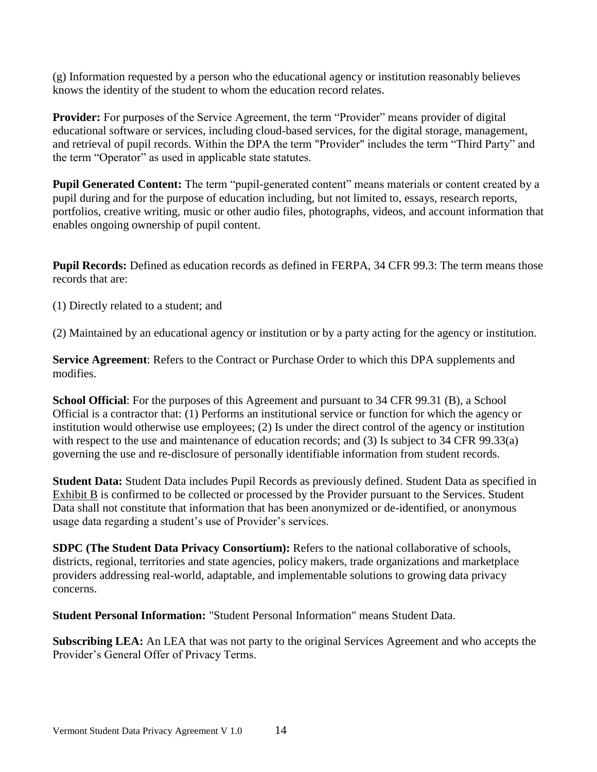(g) Information requested by a person who the educational agency or institution reasonably believes knows the identity of the student to whom the education record relates.

**Provider:** For purposes of the Service Agreement, the term "Provider" means provider of digital educational software or services, including cloud-based services, for the digital storage, management, and retrieval of pupil records. Within the DPA the term "Provider" includes the term "Third Party" and the term "Operator" as used in applicable state statutes.

**Pupil Generated Content:** The term "pupil-generated content" means materials or content created by a pupil during and for the purpose of education including, but not limited to, essays, research reports, portfolios, creative writing, music or other audio files, photographs, videos, and account information that enables ongoing ownership of pupil content.

**Pupil Records:** Defined as education records as defined in FERPA, 34 CFR 99.3: The term means those records that are:

(1) Directly related to a student; and

(2) Maintained by an educational agency or institution or by a party acting for the agency or institution.

**Service Agreement**: Refers to the Contract or Purchase Order to which this DPA supplements and modifies.

**School Official**: For the purposes of this Agreement and pursuant to 34 CFR 99.31 (B), a School Official is a contractor that: (1) Performs an institutional service or function for which the agency or institution would otherwise use employees; (2) Is under the direct control of the agency or institution with respect to the use and maintenance of education records; and (3) Is subject to 34 CFR 99.33(a) governing the use and re-disclosure of personally identifiable information from student records.

**Student Data:** Student Data includes Pupil Records as previously defined. Student Data as specified in Exhibit B is confirmed to be collected or processed by the Provider pursuant to the Services. Student Data shall not constitute that information that has been anonymized or de-identified, or anonymous usage data regarding a student's use of Provider's services.

**SDPC (The Student Data Privacy Consortium):** Refers to the national collaborative of schools, districts, regional, territories and state agencies, policy makers, trade organizations and marketplace providers addressing real-world, adaptable, and implementable solutions to growing data privacy concerns.

**Student Personal Information:** "Student Personal Information" means Student Data.

**Subscribing LEA:** An LEA that was not party to the original Services Agreement and who accepts the Provider's General Offer of Privacy Terms.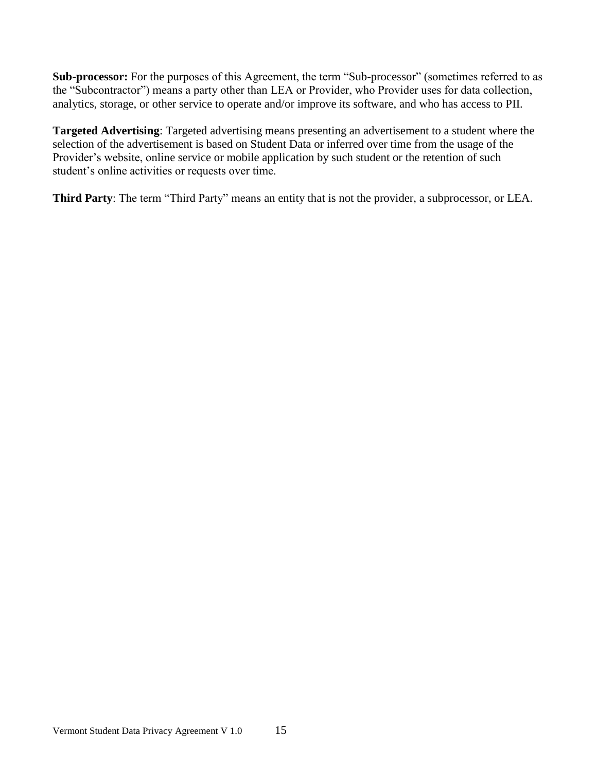**Sub-processor:** For the purposes of this Agreement, the term "Sub-processor" (sometimes referred to as the "Subcontractor") means a party other than LEA or Provider, who Provider uses for data collection, analytics, storage, or other service to operate and/or improve its software, and who has access to PII.

**Targeted Advertising**: Targeted advertising means presenting an advertisement to a student where the selection of the advertisement is based on Student Data or inferred over time from the usage of the Provider's website, online service or mobile application by such student or the retention of such student's online activities or requests over time.

**Third Party**: The term "Third Party" means an entity that is not the provider, a subprocessor, or LEA.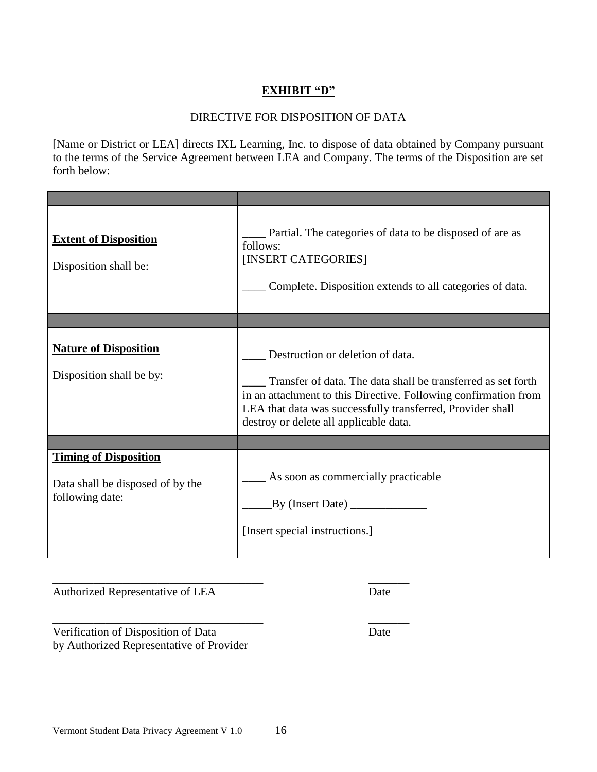## **EXHIBIT "D"**

#### DIRECTIVE FOR DISPOSITION OF DATA

[Name or District or LEA] directs IXL Learning, Inc. to dispose of data obtained by Company pursuant to the terms of the Service Agreement between LEA and Company. The terms of the Disposition are set forth below:

| <b>Extent of Disposition</b><br>Disposition shall be:                               | Partial. The categories of data to be disposed of are as<br>follows:<br>[INSERT CATEGORIES]<br>Complete. Disposition extends to all categories of data.                                                                                                                     |
|-------------------------------------------------------------------------------------|-----------------------------------------------------------------------------------------------------------------------------------------------------------------------------------------------------------------------------------------------------------------------------|
|                                                                                     |                                                                                                                                                                                                                                                                             |
| <b>Nature of Disposition</b><br>Disposition shall be by:                            | Destruction or deletion of data.<br>Transfer of data. The data shall be transferred as set forth<br>in an attachment to this Directive. Following confirmation from<br>LEA that data was successfully transferred, Provider shall<br>destroy or delete all applicable data. |
|                                                                                     |                                                                                                                                                                                                                                                                             |
| <b>Timing of Disposition</b><br>Data shall be disposed of by the<br>following date: | As soon as commercially practicable<br>By (Insert Date)<br>[Insert special instructions.]                                                                                                                                                                                   |

Authorized Representative of LEA Date

\_\_\_\_\_\_\_\_\_\_\_\_\_\_\_\_\_\_\_\_\_\_\_\_\_\_\_\_\_\_\_\_\_\_\_\_ \_\_\_\_\_\_\_ Verification of Disposition of Data Date by Authorized Representative of Provider

\_\_\_\_\_\_\_\_\_\_\_\_\_\_\_\_\_\_\_\_\_\_\_\_\_\_\_\_\_\_\_\_\_\_\_\_ \_\_\_\_\_\_\_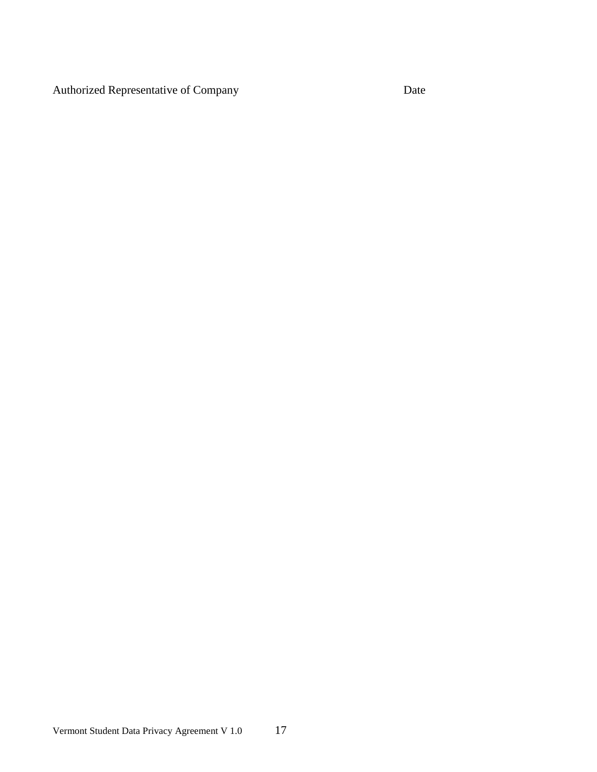Authorized Representative of Company Date